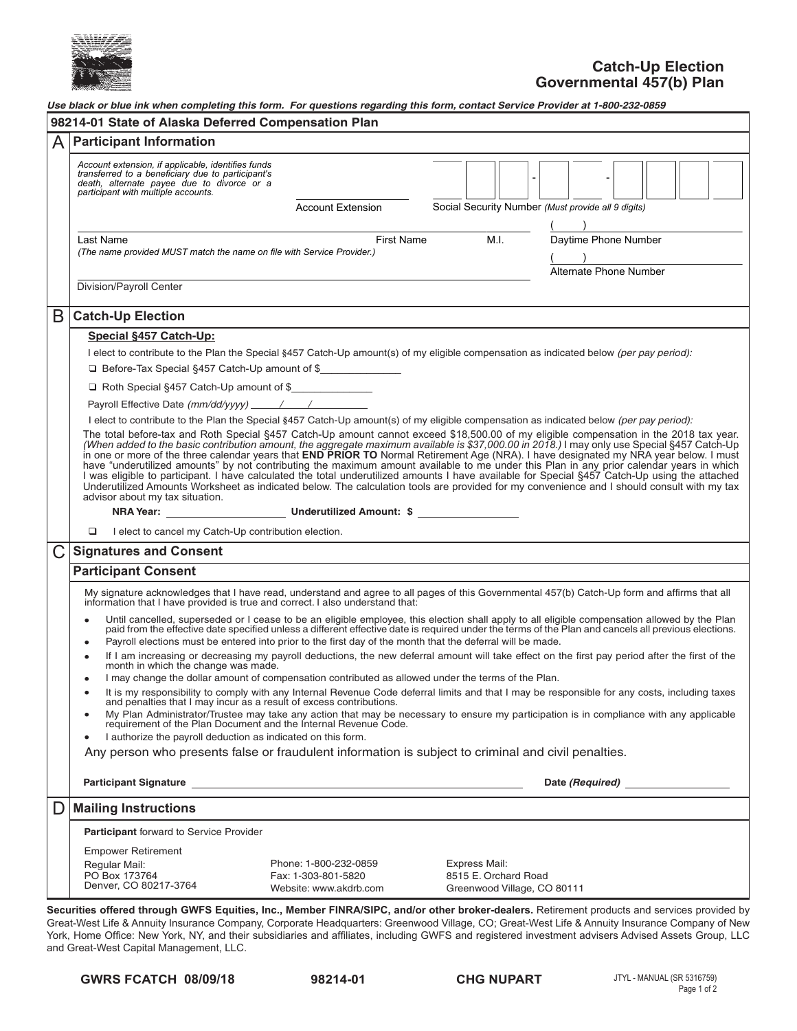

| A | <b>Participant Information</b>                                                                                                                                                                                                                                                                                                                                                                                                                                                                                                                                                                                                                                                                                                                                                                                                                                                                                |  |  |  |  |  |
|---|---------------------------------------------------------------------------------------------------------------------------------------------------------------------------------------------------------------------------------------------------------------------------------------------------------------------------------------------------------------------------------------------------------------------------------------------------------------------------------------------------------------------------------------------------------------------------------------------------------------------------------------------------------------------------------------------------------------------------------------------------------------------------------------------------------------------------------------------------------------------------------------------------------------|--|--|--|--|--|
|   | Account extension, if applicable, identifies funds<br>transferred to a beneficiary due to participant's<br>death, alternate payee due to divorce or a                                                                                                                                                                                                                                                                                                                                                                                                                                                                                                                                                                                                                                                                                                                                                         |  |  |  |  |  |
|   | participant with multiple accounts.                                                                                                                                                                                                                                                                                                                                                                                                                                                                                                                                                                                                                                                                                                                                                                                                                                                                           |  |  |  |  |  |
|   | Social Security Number (Must provide all 9 digits)<br><b>Account Extension</b>                                                                                                                                                                                                                                                                                                                                                                                                                                                                                                                                                                                                                                                                                                                                                                                                                                |  |  |  |  |  |
|   | M.I.<br>Daytime Phone Number<br><b>First Name</b><br>Last Name                                                                                                                                                                                                                                                                                                                                                                                                                                                                                                                                                                                                                                                                                                                                                                                                                                                |  |  |  |  |  |
|   | (The name provided MUST match the name on file with Service Provider.)<br>$\overline{\phantom{a}}$                                                                                                                                                                                                                                                                                                                                                                                                                                                                                                                                                                                                                                                                                                                                                                                                            |  |  |  |  |  |
|   | Alternate Phone Number<br>Division/Payroll Center                                                                                                                                                                                                                                                                                                                                                                                                                                                                                                                                                                                                                                                                                                                                                                                                                                                             |  |  |  |  |  |
|   |                                                                                                                                                                                                                                                                                                                                                                                                                                                                                                                                                                                                                                                                                                                                                                                                                                                                                                               |  |  |  |  |  |
| B | <b>Catch-Up Election</b>                                                                                                                                                                                                                                                                                                                                                                                                                                                                                                                                                                                                                                                                                                                                                                                                                                                                                      |  |  |  |  |  |
|   | Special §457 Catch-Up:                                                                                                                                                                                                                                                                                                                                                                                                                                                                                                                                                                                                                                                                                                                                                                                                                                                                                        |  |  |  |  |  |
|   | I elect to contribute to the Plan the Special §457 Catch-Up amount(s) of my eligible compensation as indicated below (per pay period):                                                                                                                                                                                                                                                                                                                                                                                                                                                                                                                                                                                                                                                                                                                                                                        |  |  |  |  |  |
|   | □ Before-Tax Special §457 Catch-Up amount of \$                                                                                                                                                                                                                                                                                                                                                                                                                                                                                                                                                                                                                                                                                                                                                                                                                                                               |  |  |  |  |  |
|   | □ Roth Special §457 Catch-Up amount of \$                                                                                                                                                                                                                                                                                                                                                                                                                                                                                                                                                                                                                                                                                                                                                                                                                                                                     |  |  |  |  |  |
|   | Payroll Effective Date (mm/dd/yyyy) / /                                                                                                                                                                                                                                                                                                                                                                                                                                                                                                                                                                                                                                                                                                                                                                                                                                                                       |  |  |  |  |  |
|   | The total before-tax and Roth Special §457 Catch-Up amount cannot exceed \$18,500.00 of my eligible compensation in the 2018 tax year.<br>(When added to the basic contribution amount, the aggregate maximum available is \$37,000.00 in 2018.) I may only use Special §457 Catch-Up<br>in one or more of the three calendar years that END PRIOR TO Normal Retirement Age (NRA). I have designated my NRA year below. I must<br>have "underutilized amounts" by not contributing the maximum amount available to me under this Plan in any prior calendar years in which<br>I was eligible to participant. I have calculated the total underutilized amounts I have available for Special §457 Catch-Up using the attached<br>Underutilized Amounts Worksheet as indicated below. The calculation tools are provided for my convenience and I should consult with my tax<br>advisor about my tax situation. |  |  |  |  |  |
|   | I elect to cancel my Catch-Up contribution election.<br>□                                                                                                                                                                                                                                                                                                                                                                                                                                                                                                                                                                                                                                                                                                                                                                                                                                                     |  |  |  |  |  |
|   |                                                                                                                                                                                                                                                                                                                                                                                                                                                                                                                                                                                                                                                                                                                                                                                                                                                                                                               |  |  |  |  |  |
|   | <b>Signatures and Consent</b>                                                                                                                                                                                                                                                                                                                                                                                                                                                                                                                                                                                                                                                                                                                                                                                                                                                                                 |  |  |  |  |  |
|   | <b>Participant Consent</b>                                                                                                                                                                                                                                                                                                                                                                                                                                                                                                                                                                                                                                                                                                                                                                                                                                                                                    |  |  |  |  |  |
|   | My signature acknowledges that I have read, understand and agree to all pages of this Governmental 457(b) Catch-Up form and affirms that all<br>information that I have provided is true and correct. I also understand that:                                                                                                                                                                                                                                                                                                                                                                                                                                                                                                                                                                                                                                                                                 |  |  |  |  |  |
|   | Until cancelled, superseded or I cease to be an eligible employee, this election shall apply to all eligible compensation allowed by the Plan<br>$\bullet$<br>paid from the effective date specified unless a different effective date is required under the terms of the Plan and cancels all previous elections.<br>Payroll elections must be entered into prior to the first day of the month that the deferral will be made.<br>$\bullet$                                                                                                                                                                                                                                                                                                                                                                                                                                                                 |  |  |  |  |  |
|   | If I am increasing or decreasing my payroll deductions, the new deferral amount will take effect on the first pay period after the first of the<br>month in which the change was made.                                                                                                                                                                                                                                                                                                                                                                                                                                                                                                                                                                                                                                                                                                                        |  |  |  |  |  |
|   | I may change the dollar amount of compensation contributed as allowed under the terms of the Plan.                                                                                                                                                                                                                                                                                                                                                                                                                                                                                                                                                                                                                                                                                                                                                                                                            |  |  |  |  |  |
|   | It is my responsibility to comply with any Internal Revenue Code deferral limits and that I may be responsible for any costs, including taxes<br>٠<br>and penalties that I may incur as a result of excess contributions.                                                                                                                                                                                                                                                                                                                                                                                                                                                                                                                                                                                                                                                                                     |  |  |  |  |  |
|   |                                                                                                                                                                                                                                                                                                                                                                                                                                                                                                                                                                                                                                                                                                                                                                                                                                                                                                               |  |  |  |  |  |
|   | $\bullet$                                                                                                                                                                                                                                                                                                                                                                                                                                                                                                                                                                                                                                                                                                                                                                                                                                                                                                     |  |  |  |  |  |
|   | I authorize the payroll deduction as indicated on this form.<br>٠                                                                                                                                                                                                                                                                                                                                                                                                                                                                                                                                                                                                                                                                                                                                                                                                                                             |  |  |  |  |  |
|   | Any person who presents false or fraudulent information is subject to criminal and civil penalties.                                                                                                                                                                                                                                                                                                                                                                                                                                                                                                                                                                                                                                                                                                                                                                                                           |  |  |  |  |  |
|   | Participant Signature <u>Contract Communication</u> and Contract Communication and Communication                                                                                                                                                                                                                                                                                                                                                                                                                                                                                                                                                                                                                                                                                                                                                                                                              |  |  |  |  |  |
|   | <b>Mailing Instructions</b>                                                                                                                                                                                                                                                                                                                                                                                                                                                                                                                                                                                                                                                                                                                                                                                                                                                                                   |  |  |  |  |  |
|   | <b>Participant</b> forward to Service Provider                                                                                                                                                                                                                                                                                                                                                                                                                                                                                                                                                                                                                                                                                                                                                                                                                                                                |  |  |  |  |  |
|   | <b>Empower Retirement</b>                                                                                                                                                                                                                                                                                                                                                                                                                                                                                                                                                                                                                                                                                                                                                                                                                                                                                     |  |  |  |  |  |
| D | My Plan Administrator/Trustee may take any action that may be necessary to ensure my participation is in compliance with any applicable requirement of the Plan Document and the Internal Revenue Code.<br>Date (Required)<br>Phone: 1-800-232-0859<br>Express Mail:<br>Regular Mail:<br>PO Box 173764<br>Fax: 1-303-801-5820<br>8515 E. Orchard Road                                                                                                                                                                                                                                                                                                                                                                                                                                                                                                                                                         |  |  |  |  |  |

**Securities offered through GWFS Equities, Inc., Member FINRA/SIPC, and/or other broker-dealers.** Retirement products and services provided by Securities offered through GWFS Equities, Inc., Member FINRA/SIPC, and/or other broker-dealers. Retirement products and services provided by<br>Great-West Life & Annuity Insurance Company, Corporate Headquarters: Greenwood Vi  $\frac{P}{P}$  Pour Library insurance company, completion reductions consider  $\frac{P}{P}$  and  $\frac{P}{P}$  and  $\frac{P}{P}$  and  $\frac{P}{P}$  and  $\frac{P}{P}$  and  $\frac{P}{P}$  and  $\frac{P}{P}$  and  $\frac{P}{P}$  and  $\frac{P}{P}$  and  $\frac{P}{P}$  and  $\frac{P}{P}$ and Great-West Capital Management, LLC. word and annual community of the Canal regions of investment -west Life & Annuity insurance Company, Corporate Headquarters: Greenwood Village, CO; Great-West Life & Annuity insurance Company of<br>Home Office: New York, NY, and their subsidiaries and affiliates, including GWFS and reg e & Annuny insurance Company, Corporate Headquarters. Greenwood village, CO, Great-West Life & Annuny insurance Company of New<br>Fice: New York, NY, and their subsidiaries and affiliates, including GWFS and registered invest  $\mathcal{P}$ Proced West Elie & Winning modiance company, corporate ricadedaments. Creenwood village, oo, creat West Elie & Winning modiance company of New York, NY, and their subsidiaries and affiliates, including GWFS and registered